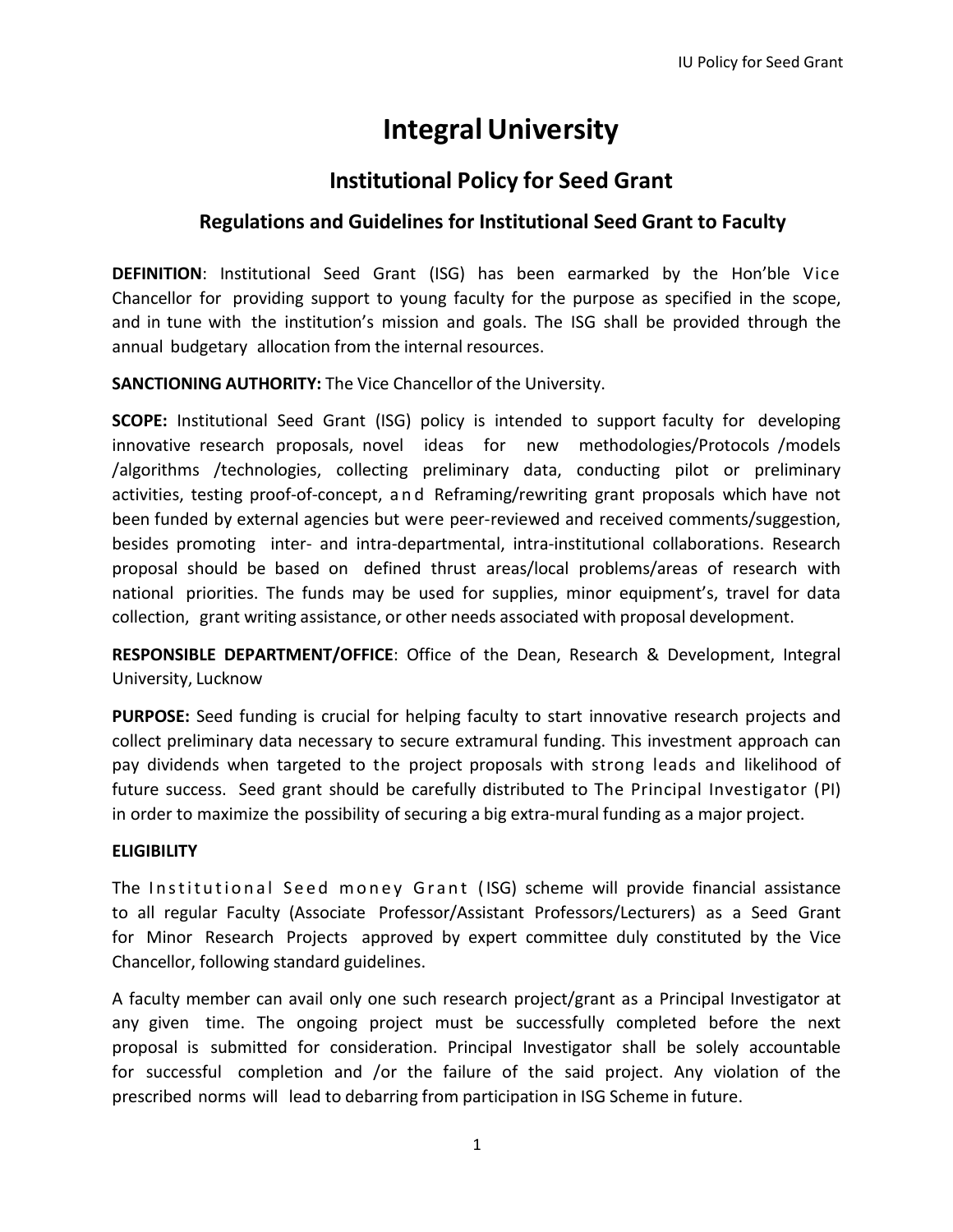# **IntegralUniversity**

## **Institutional Policy for Seed Grant**

## **Regulations and Guidelines for Institutional Seed Grant to Faculty**

**DEFINITION**: Institutional Seed Grant (ISG) has been earmarked by the Hon'ble Vice Chancellor for providing support to young faculty for the purpose as specified in the scope, and in tune with the institution's mission and goals. The ISG shall be provided through the annual budgetary allocation from the internal resources.

**SANCTIONING AUTHORITY:** The Vice Chancellor of the University.

**SCOPE:** Institutional Seed Grant (ISG) policy is intended to support faculty for developing innovative research proposals, novel ideas for new methodologies/Protocols /models /algorithms /technologies, collecting preliminary data, conducting pilot or preliminary activities, testing proof-of-concept, a n d Reframing/rewriting grant proposals which have not been funded by external agencies but were peer-reviewed and received comments/suggestion, besides promoting inter- and intra-departmental, intra-institutional collaborations. Research proposal should be based on defined thrust areas/local problems/areas of research with national priorities. The funds may be used for supplies, minor equipment's, travel for data collection, grant writing assistance, or other needs associated with proposal development.

**RESPONSIBLE DEPARTMENT/OFFICE**: Office of the Dean, Research & Development, Integral University, Lucknow

**PURPOSE:** Seed funding is crucial for helping faculty to start innovative research projects and collect preliminary data necessary to secure extramural funding. This investment approach can pay dividends when targeted to the project proposals with strong leads and likelihood of future success. Seed grant should be carefully distributed to The Principal Investigator (PI) in order to maximize the possibility of securing a big extra-mural funding as a major project.

## **ELIGIBILITY**

The Institutional Seed money Grant (ISG) scheme will provide financial assistance to all regular Faculty (Associate Professor/Assistant Professors/Lecturers) as a Seed Grant for Minor Research Projects approved by expert committee duly constituted by the Vice Chancellor, following standard guidelines.

A faculty member can avail only one such research project/grant as a Principal Investigator at any given time. The ongoing project must be successfully completed before the next proposal is submitted for consideration. Principal Investigator shall be solely accountable for successful completion and /or the failure of the said project. Any violation of the prescribed norms will lead to debarring from participation in ISG Scheme in future.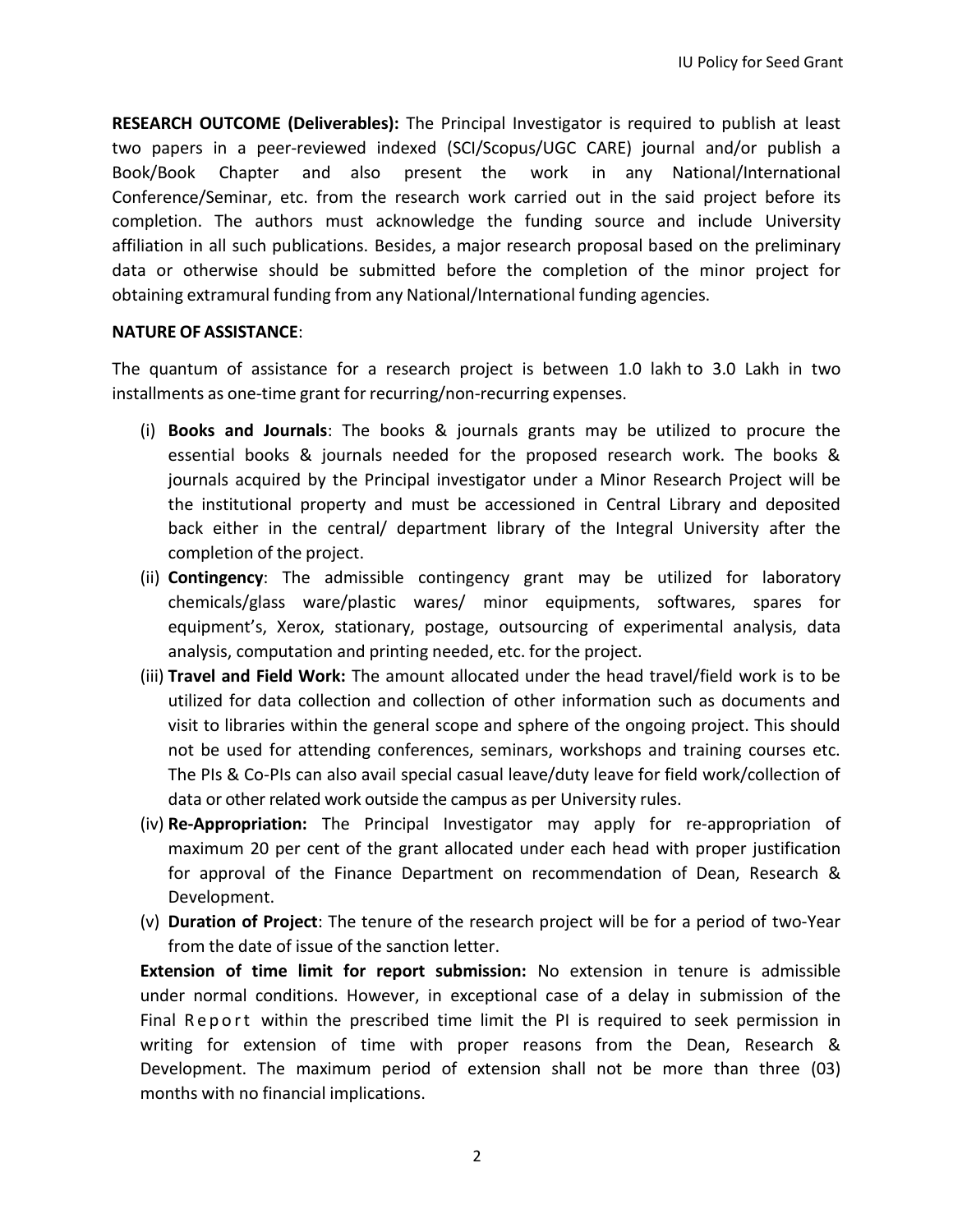**RESEARCH OUTCOME (Deliverables):** The Principal Investigator is required to publish at least two papers in a peer-reviewed indexed (SCI/Scopus/UGC CARE) journal and/or publish a Book/Book Chapter and also present the work in any National/International Conference/Seminar, etc. from the research work carried out in the said project before its completion. The authors must acknowledge the funding source and include University affiliation in all such publications. Besides, a major research proposal based on the preliminary data or otherwise should be submitted before the completion of the minor project for obtaining extramural funding from any National/International funding agencies.

#### **NATURE OF ASSISTANCE**:

The quantum of assistance for a research project is between 1.0 lakh to 3.0 Lakh in two installments as one-time grant for recurring/non-recurring expenses.

- (i) **Books and Journals**: The books & journals grants may be utilized to procure the essential books & journals needed for the proposed research work. The books & journals acquired by the Principal investigator under a Minor Research Project will be the institutional property and must be accessioned in Central Library and deposited back either in the central/ department library of the Integral University after the completion of the project.
- (ii) **Contingency**: The admissible contingency grant may be utilized for laboratory chemicals/glass ware/plastic wares/ minor equipments, softwares, spares for equipment's, Xerox, stationary, postage, outsourcing of experimental analysis, data analysis, computation and printing needed, etc. for the project.
- (iii) **Travel and Field Work:** The amount allocated under the head travel/field work is to be utilized for data collection and collection of other information such as documents and visit to libraries within the general scope and sphere of the ongoing project. This should not be used for attending conferences, seminars, workshops and training courses etc. The PIs & Co-PIs can also avail special casual leave/duty leave for field work/collection of data or other related work outside the campus as per University rules.
- (iv) **Re-Appropriation:** The Principal Investigator may apply for re-appropriation of maximum 20 per cent of the grant allocated under each head with proper justification for approval of the Finance Department on recommendation of Dean, Research & Development.
- (v) **Duration of Project**: The tenure of the research project will be for a period of two-Year from the date of issue of the sanction letter.

**Extension of time limit for report submission:** No extension in tenure is admissible under normal conditions. However, in exceptional case of a delay in submission of the Final Report within the prescribed time limit the PI is required to seek permission in writing for extension of time with proper reasons from the Dean, Research & Development. The maximum period of extension shall not be more than three (03) months with no financial implications.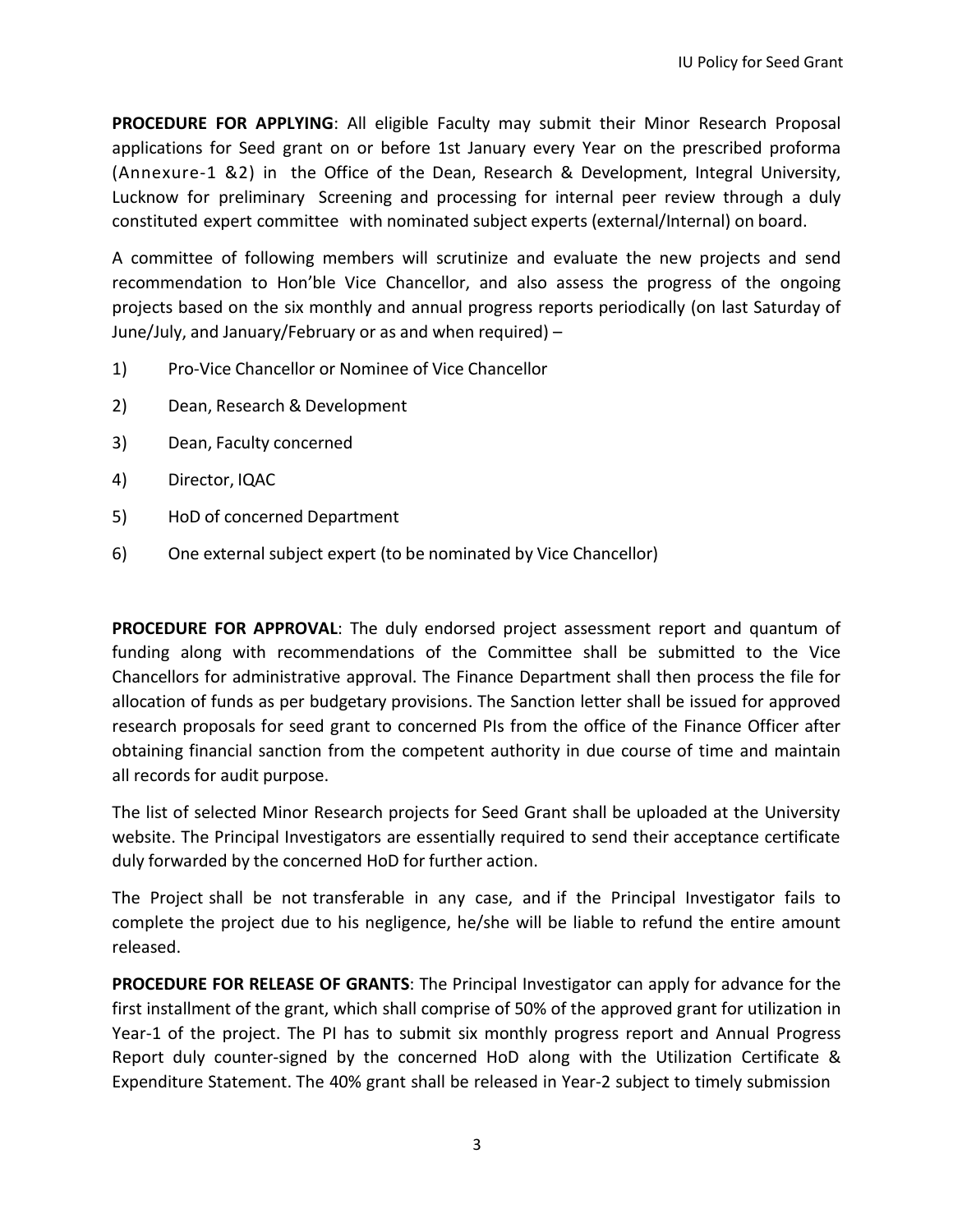**PROCEDURE FOR APPLYING**: All eligible Faculty may submit their Minor Research Proposal applications for Seed grant on or before 1st January every Year on the prescribed proforma (Annexure-1 &2) in the Office of the Dean, Research & Development, Integral University, Lucknow for preliminary Screening and processing for internal peer review through a duly constituted expert committee with nominated subject experts (external/Internal) on board.

A committee of following members will scrutinize and evaluate the new projects and send recommendation to Hon'ble Vice Chancellor, and also assess the progress of the ongoing projects based on the six monthly and annual progress reports periodically (on last Saturday of June/July, and January/February or as and when required) –

- 1) Pro-Vice Chancellor or Nominee of Vice Chancellor
- 2) Dean, Research & Development
- 3) Dean, Faculty concerned
- 4) Director, IQAC
- 5) HoD of concerned Department
- 6) One external subject expert (to be nominated by Vice Chancellor)

**PROCEDURE FOR APPROVAL**: The duly endorsed project assessment report and quantum of funding along with recommendations of the Committee shall be submitted to the Vice Chancellors for administrative approval. The Finance Department shall then process the file for allocation of funds as per budgetary provisions. The Sanction letter shall be issued for approved research proposals for seed grant to concerned PIs from the office of the Finance Officer after obtaining financial sanction from the competent authority in due course of time and maintain all records for audit purpose.

The list of selected Minor Research projects for Seed Grant shall be uploaded at the University website. The Principal Investigators are essentially required to send their acceptance certificate duly forwarded by the concerned HoD for further action.

The Project shall be not transferable in any case, and if the Principal Investigator fails to complete the project due to his negligence, he/she will be liable to refund the entire amount released.

**PROCEDURE FOR RELEASE OF GRANTS**: The Principal Investigator can apply for advance for the first installment of the grant, which shall comprise of 50% of the approved grant for utilization in Year-1 of the project. The PI has to submit six monthly progress report and Annual Progress Report duly counter-signed by the concerned HoD along with the Utilization Certificate & Expenditure Statement. The 40% grant shall be released in Year-2 subject to timely submission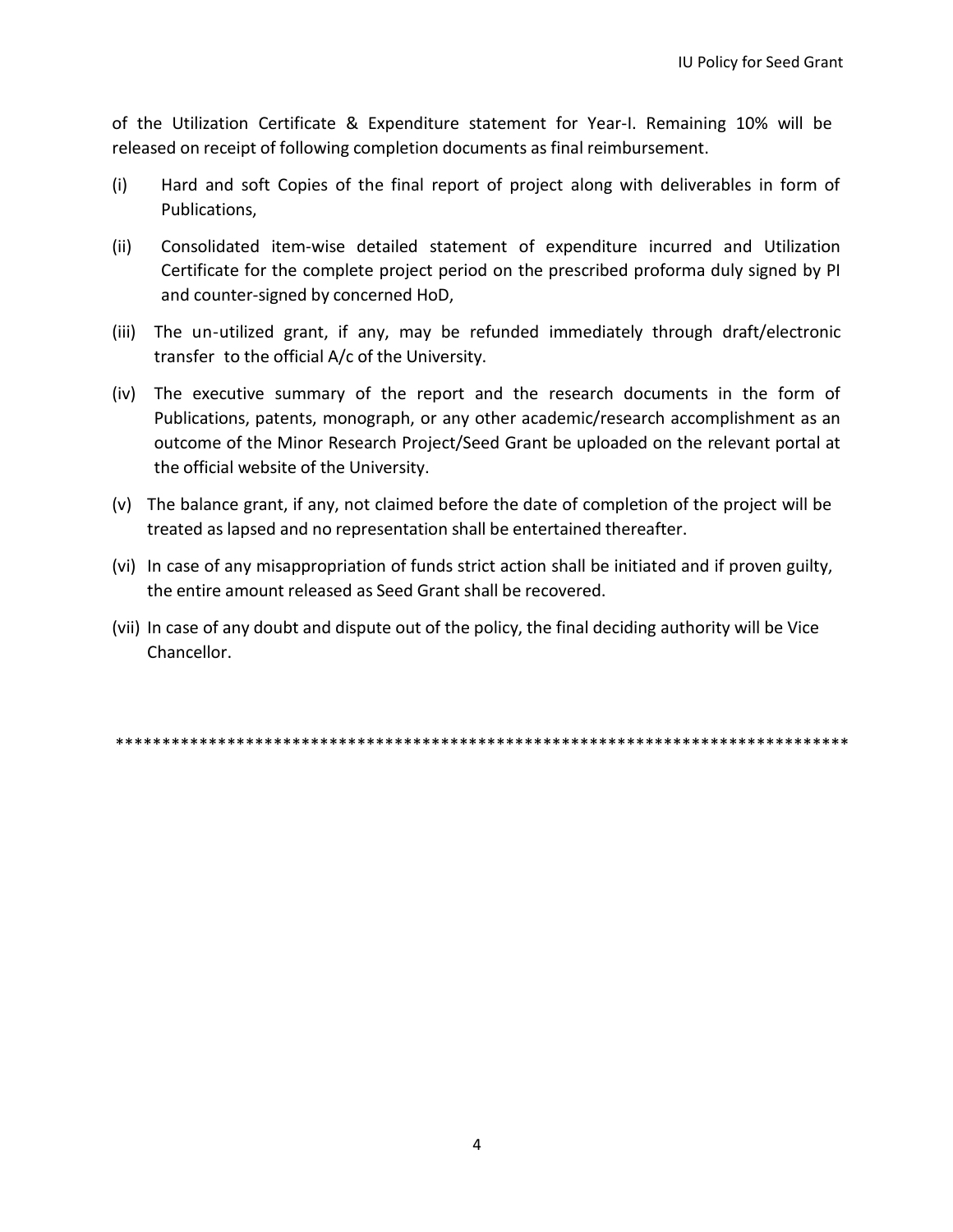of the Utilization Certificate & Expenditure statement for Year-I. Remaining 10% will be released on receipt of following completion documents as final reimbursement.

- (i) Hard and soft Copies of the final report of project along with deliverables in form of Publications,
- (ii) Consolidated item-wise detailed statement of expenditure incurred and Utilization Certificate for the complete project period on the prescribed proforma duly signed by PI and counter-signed by concerned HoD,
- (iii) The un-utilized grant, if any, may be refunded immediately through draft/electronic transfer to the official A/c of the University.
- (iv) The executive summary of the report and the research documents in the form of Publications, patents, monograph, or any other academic/research accomplishment as an outcome of the Minor Research Project/Seed Grant be uploaded on the relevant portal at the official website of the University.
- (v) The balance grant, if any, not claimed before the date of completion of the project will be treated as lapsed and no representation shall be entertained thereafter.
- (vi) In case of any misappropriation of funds strict action shall be initiated and if proven guilty, the entire amount released as Seed Grant shall be recovered.
- (vii) In case of any doubt and dispute out of the policy, the final deciding authority will be Vice Chancellor.

\*\*\*\*\*\*\*\*\*\*\*\*\*\*\*\*\*\*\*\*\*\*\*\*\*\*\*\*\*\*\*\*\*\*\*\*\*\*\*\*\*\*\*\*\*\*\*\*\*\*\*\*\*\*\*\*\*\*\*\*\*\*\*\*\*\*\*\*\*\*\*\*\*\*\*\*\*\*\*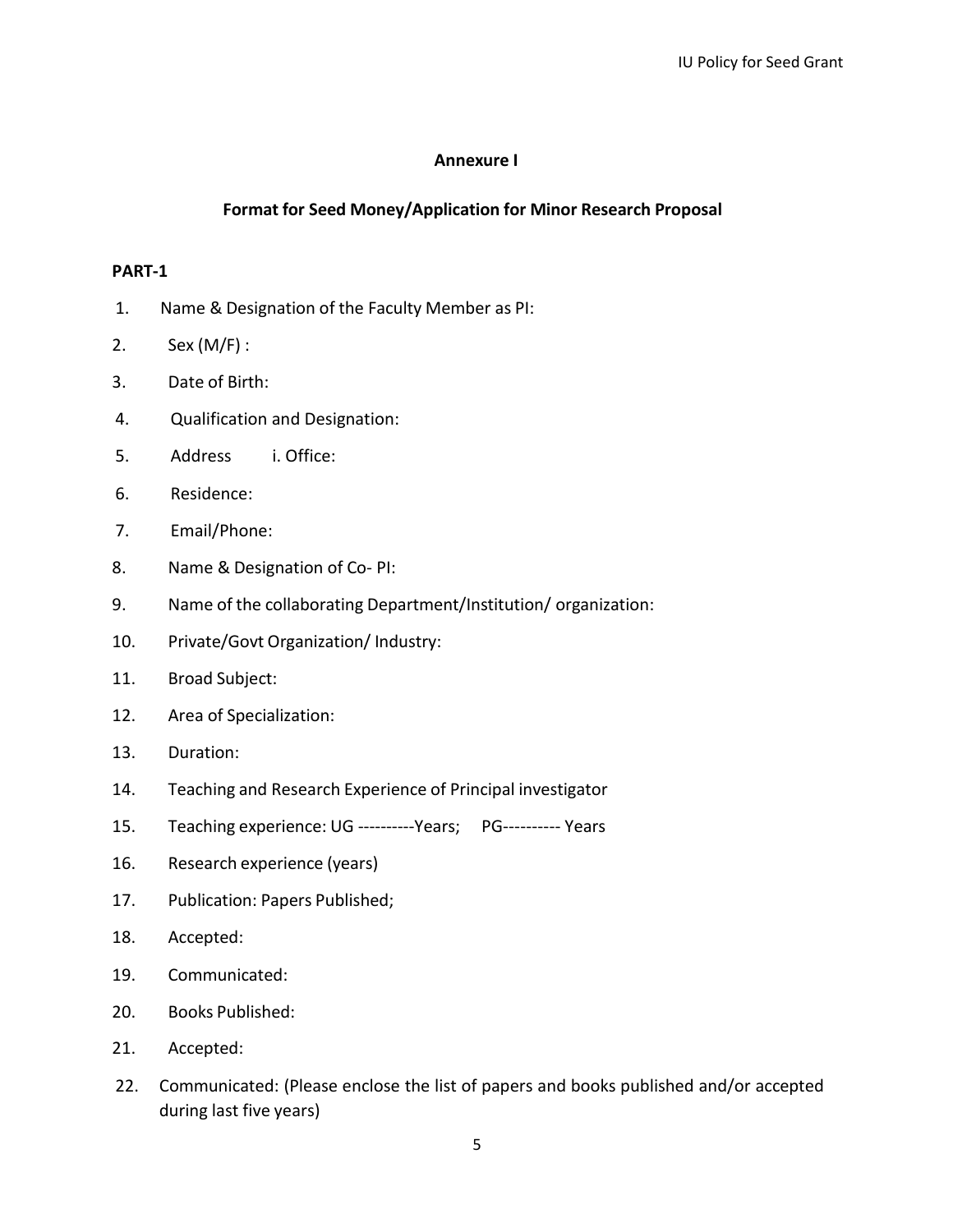#### **Annexure I**

#### **Format for Seed Money/Application for Minor Research Proposal**

#### **PART-1**

- 1. Name & Designation of the Faculty Member as PI:
- 2. Sex (M/F) :
- 3. Date of Birth:
- 4. Qualification and Designation:
- 5. Address i. Office:
- 6. Residence:
- 7. Email/Phone:
- 8. Name & Designation of Co- PI:
- 9. Name of the collaborating Department/Institution/ organization:
- 10. Private/Govt Organization/ Industry:
- 11. Broad Subject:
- 12. Area of Specialization:
- 13. Duration:
- 14. Teaching and Research Experience of Principal investigator
- 15. Teaching experience: UG ----------Years; PG---------- Years
- 16. Research experience (years)
- 17. Publication: Papers Published;
- 18. Accepted:
- 19. Communicated:
- 20. Books Published:
- 21. Accepted:
- 22. Communicated: (Please enclose the list of papers and books published and/or accepted during last five years)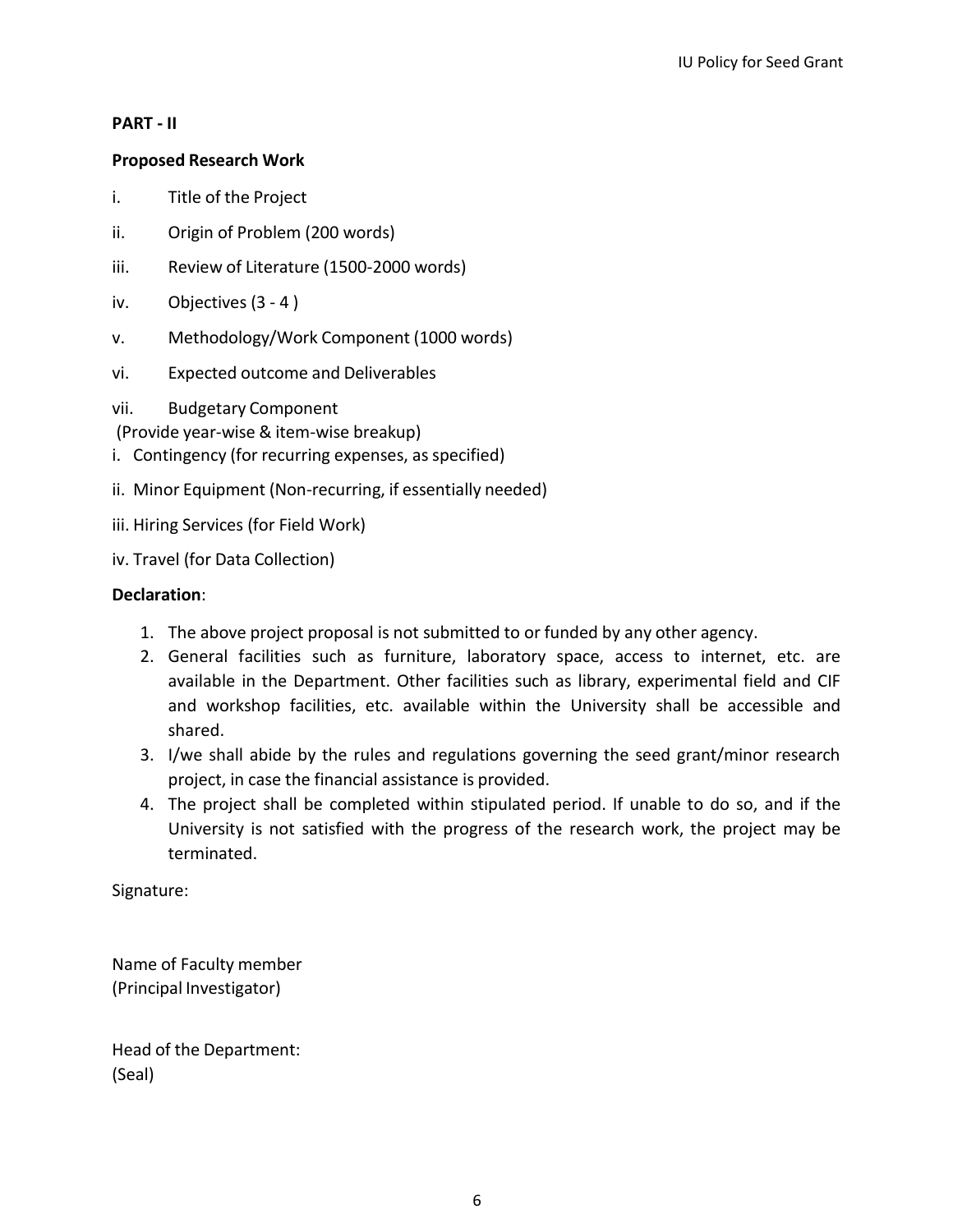### **PART - II**

## **Proposed Research Work**

- i. Title of the Project
- ii. Origin of Problem (200 words)
- iii. Review of Literature (1500-2000 words)
- iv. Objectives (3 4 )
- v. Methodology/Work Component (1000 words)
- vi. Expected outcome and Deliverables
- vii. Budgetary Component
- (Provide year-wise & item-wise breakup)
- i. Contingency (for recurring expenses, as specified)
- ii. Minor Equipment (Non-recurring, if essentially needed)
- iii. Hiring Services (for Field Work)
- iv. Travel (for Data Collection)

## **Declaration**:

- 1. The above project proposal is not submitted to or funded by any other agency.
- 2. General facilities such as furniture, laboratory space, access to internet, etc. are available in the Department. Other facilities such as library, experimental field and CIF and workshop facilities, etc. available within the University shall be accessible and shared.
- 3. I/we shall abide by the rules and regulations governing the seed grant/minor research project, in case the financial assistance is provided.
- 4. The project shall be completed within stipulated period. If unable to do so, and if the University is not satisfied with the progress of the research work, the project may be terminated.

Signature:

Name of Faculty member (Principal Investigator)

Head of the Department: (Seal)